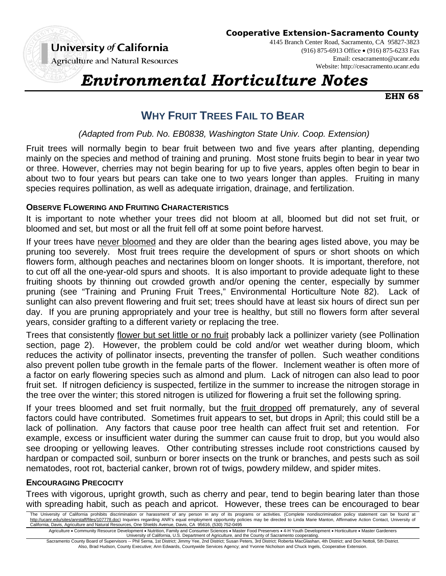

**Cooperative Extension-Sacramento County**

**Agriculture and Natural Resources** 

4145 Branch Center Road, Sacramento, CA 95827-3823 (916) 875-6913 Office (916) 875-6233 Fax Email: cesacramento@ucanr.edu Website: http://cesacramento.ucanr.edu

# *Environmental Horticulture Notes*

**EHN 68** 

# **WHY FRUIT TREES FAIL TO BEAR**

 *(Adapted from Pub. No. EB0838, Washington State Univ. Coop. Extension)* 

Fruit trees will normally begin to bear fruit between two and five years after planting, depending mainly on the species and method of training and pruning. Most stone fruits begin to bear in year two or three. However, cherries may not begin bearing for up to five years, apples often begin to bear in about two to four years but pears can take one to two years longer than apples. Fruiting in many species requires pollination, as well as adequate irrigation, drainage, and fertilization.

# **OBSERVE FLOWERING AND FRUITING CHARACTERISTICS**

It is important to note whether your trees did not bloom at all, bloomed but did not set fruit, or bloomed and set, but most or all the fruit fell off at some point before harvest.

If your trees have never bloomed and they are older than the bearing ages listed above, you may be pruning too severely. Most fruit trees require the development of spurs or short shoots on which flowers form, although peaches and nectarines bloom on longer shoots. It is important, therefore, not to cut off all the one-year-old spurs and shoots. It is also important to provide adequate light to these fruiting shoots by thinning out crowded growth and/or opening the center, especially by summer pruning (see "Training and Pruning Fruit Trees," Environmental Horticulture Note 82). Lack of sunlight can also prevent flowering and fruit set; trees should have at least six hours of direct sun per day. If you are pruning appropriately and your tree is healthy, but still no flowers form after several years, consider grafting to a different variety or replacing the tree.

Trees that consistently flower but set little or no fruit probably lack a pollinizer variety (see Pollination section, page 2). However, the problem could be cold and/or wet weather during bloom, which reduces the activity of pollinator insects, preventing the transfer of pollen. Such weather conditions also prevent pollen tube growth in the female parts of the flower. Inclement weather is often more of a factor on early flowering species such as almond and plum. Lack of nitrogen can also lead to poor fruit set. If nitrogen deficiency is suspected, fertilize in the summer to increase the nitrogen storage in the tree over the winter; this stored nitrogen is utilized for flowering a fruit set the following spring.

If your trees bloomed and set fruit normally, but the fruit dropped off prematurely, any of several factors could have contributed. Sometimes fruit appears to set, but drops in April; this could still be a lack of pollination. Any factors that cause poor tree health can affect fruit set and retention. For example, excess or insufficient water during the summer can cause fruit to drop, but you would also see drooping or yellowing leaves. Other contributing stresses include root constrictions caused by hardpan or compacted soil, sunburn or borer insects on the trunk or branches, and pests such as soil nematodes, root rot, bacterial canker, brown rot of twigs, powdery mildew, and spider mites.

# **ENCOURAGING PRECOCITY**

Trees with vigorous, upright growth, such as cherry and pear, tend to begin bearing later than those with spreading habit, such as peach and apricot. However, these trees can be encouraged to bear

The University of California prohibits discrimination or harassment of any person in any of its programs or activities. (Complete nondiscrimination policy statement can be found at http://ucanr.edu/sites/anrstaff/files/107778.doc) Inquiries regarding ANR's equal employment opportunity policies may be directed to Linda Marie Manton, Affirmative Action Contact, University of California, Davis, Agriculture and Natural Resources, One Shields Avenue, Davis, CA 95616, (530) 752-0495

Agriculture • Community Resource Development • Nutrition, Family and Consumer Sciences • Master Food Preservers • 4-H Youth Development • Horticulture • Master Gardeners<br>University of California, U.S. Department of Agricu Sacramento County Board of Supervisors -- Phil Serna, 1st District; Jimmy Yee, 2nd District; Susan Peters, 3rd District; Roberta MacGlashan, 4th District; and Don Nottoli, 5th District.

Also, Brad Hudson, County Executive; Ann Edwards, Countywide Services Agency; and Yvonne Nicholson and Chuck Ingels, Cooperative Extension.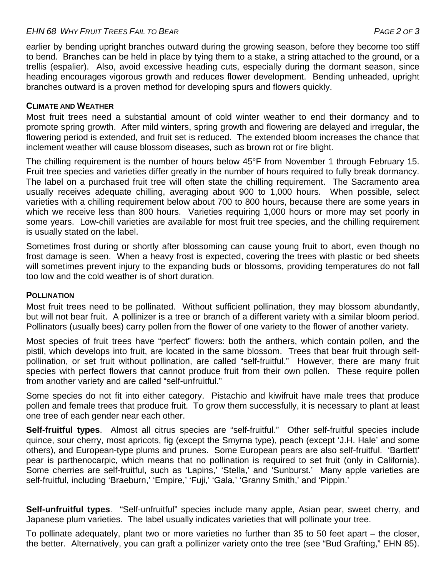earlier by bending upright branches outward during the growing season, before they become too stiff to bend. Branches can be held in place by tying them to a stake, a string attached to the ground, or a trellis (espalier). Also, avoid excessive heading cuts, especially during the dormant season, since heading encourages vigorous growth and reduces flower development. Bending unheaded, upright branches outward is a proven method for developing spurs and flowers quickly.

## **CLIMATE AND WEATHER**

Most fruit trees need a substantial amount of cold winter weather to end their dormancy and to promote spring growth. After mild winters, spring growth and flowering are delayed and irregular, the flowering period is extended, and fruit set is reduced. The extended bloom increases the chance that inclement weather will cause blossom diseases, such as brown rot or fire blight.

The chilling requirement is the number of hours below 45°F from November 1 through February 15. Fruit tree species and varieties differ greatly in the number of hours required to fully break dormancy. The label on a purchased fruit tree will often state the chilling requirement. The Sacramento area usually receives adequate chilling, averaging about 900 to 1,000 hours. When possible, select varieties with a chilling requirement below about 700 to 800 hours, because there are some years in which we receive less than 800 hours. Varieties requiring 1,000 hours or more may set poorly in some years. Low-chill varieties are available for most fruit tree species, and the chilling requirement is usually stated on the label.

Sometimes frost during or shortly after blossoming can cause young fruit to abort, even though no frost damage is seen. When a heavy frost is expected, covering the trees with plastic or bed sheets will sometimes prevent injury to the expanding buds or blossoms, providing temperatures do not fall too low and the cold weather is of short duration.

#### **POLLINATION**

Most fruit trees need to be pollinated. Without sufficient pollination, they may blossom abundantly, but will not bear fruit. A pollinizer is a tree or branch of a different variety with a similar bloom period. Pollinators (usually bees) carry pollen from the flower of one variety to the flower of another variety.

Most species of fruit trees have "perfect" flowers: both the anthers, which contain pollen, and the pistil, which develops into fruit, are located in the same blossom. Trees that bear fruit through selfpollination, or set fruit without pollination, are called "self-fruitful." However, there are many fruit species with perfect flowers that cannot produce fruit from their own pollen. These require pollen from another variety and are called "self-unfruitful."

Some species do not fit into either category. Pistachio and kiwifruit have male trees that produce pollen and female trees that produce fruit. To grow them successfully, it is necessary to plant at least one tree of each gender near each other.

**Self-fruitful types**.Almost all citrus species are "self-fruitful." Other self-fruitful species include quince, sour cherry, most apricots, fig (except the Smyrna type), peach (except 'J.H. Hale' and some others), and European-type plums and prunes. Some European pears are also self-fruitful. 'Bartlett' pear is parthenocarpic, which means that no pollination is required to set fruit (only in California). Some cherries are self-fruitful, such as 'Lapins,' 'Stella,' and 'Sunburst.' Many apple varieties are self-fruitful, including 'Braeburn,' 'Empire,' 'Fuji,' 'Gala,' 'Granny Smith,' and 'Pippin.'

**Self-unfruitful types**. "Self-unfruitful" species include many apple, Asian pear, sweet cherry, and Japanese plum varieties. The label usually indicates varieties that will pollinate your tree.

To pollinate adequately, plant two or more varieties no further than 35 to 50 feet apart – the closer, the better. Alternatively, you can graft a pollinizer variety onto the tree (see "Bud Grafting," EHN 85).